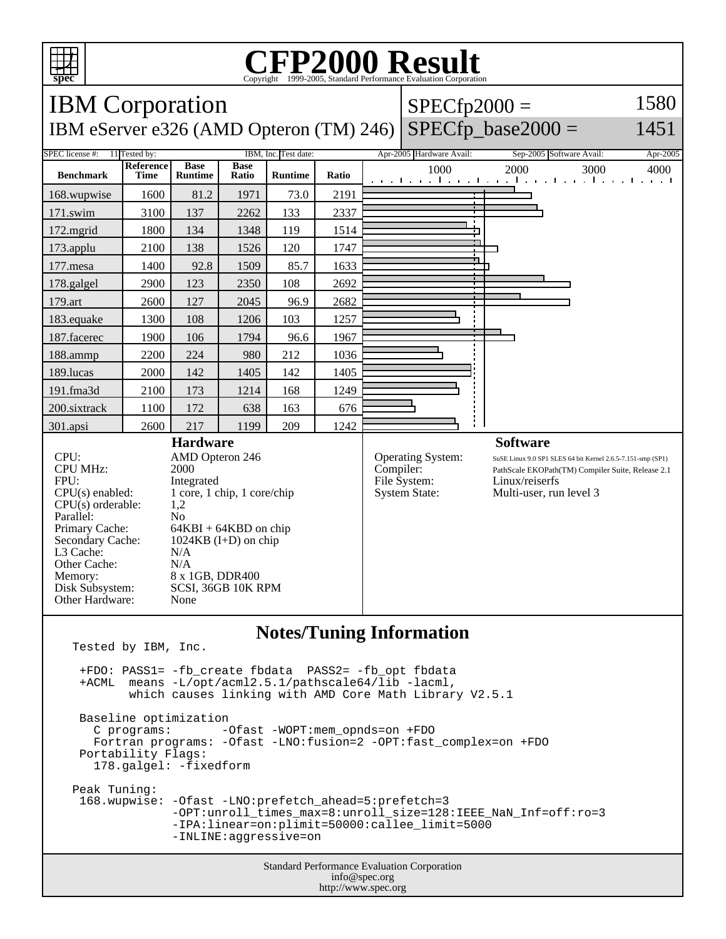

## **CFP2000 Result** Copyright 1999-2005, Standard Performance Evaluation Corporation

Standard Performance Evaluation Corporation info@spec.org http://www.spec.org IBM Corporation IBM eServer e326 (AMD Opteron (TM) 246)  $|$  SPECfp\_base2000 =  $SPECfp2000 =$ 1580 1451 SPEC license #: 11 Tested by: IBM, Inc. Test date: Apr-2005 Hardware Avail: Sep-2005 Software Avail: Apr-2005 **Benchmark Reference Time Base Runtime Base Runtime Ratio** 1000 2000 3000 4000 168.wupwise 1600 81.2 1971 73.0 2191 171.swim | 3100 | 137 | 2262 | 133 | 2337 172.mgrid | 1800 | 134 | 1348 | 119 | 1514 173.applu | 2100 | 138 | 1526 | 120 | 1747 177.mesa | 1400 | 92.8 | 1509 | 85.7 | 1633 178.galgel | 2900 | 123 | 2350 | 108 | 2692 179.art 2600 127 2045 96.9 2682 183.equake 1300 108 1206 103 1257 187.facerec | 1900 | 106 | 1794 | 96.6 | 1967 188.ammp | 2200 | 224 | 980 | 212 | 1036 189.lucas | 2000 | 142 | 1405 | 142 | 1405 191.fma3d | 2100 | 173 | 1214 | 168 | 1249 200.sixtrack 1100 172 638 163 676 301.apsi 2600 217 1199 209 1242 **Hardware** CPU: AMD Opteron 246<br>CPU MHz: 2000 CPU MHz: FPU: Integrated  $CPU(s)$  enabled:  $1$  core, 1 chip, 1 core/chip<br>CPU(s) orderable:  $1,2$  $CPU(s)$  orderable: Parallel: No<br>Primary Cache: 64F  $64KBI + 64KBD$  on chip Secondary Cache: 1024KB (I+D) on chip L3 Cache: N/A Other Cache: N/A Memory: 8 x 1GB, DDR400 Disk Subsystem: SCSI, 36GB 10K RPM Other Hardware: None **Software** Operating System: SuSE Linux 9.0 SP1 SLES 64 bit Kernel 2.6.5-7.151-smp (SP1) Compiler: PathScale EKOPath(TM) Compiler Suite, Release 2.1 File System: Linux/reiserfs System State: Multi-user, run level 3 **Notes/Tuning Information** Tested by IBM, Inc. +FDO: PASS1= -fb\_create fbdata PASS2= -fb\_opt fbdata +ACML means -L/opt/acml2.5.1/pathscale64/lib -lacml, which causes linking with AMD Core Math Library V2.5.1 Baseline optimization<br>C programs: --Ofast -WOPT:mem\_opnds=on +FDO Fortran programs: -Ofast -LNO:fusion=2 -OPT:fast\_complex=on +FDO Portability Flags: 178.galgel: -fixedform Peak Tuning: 168.wupwise: -Ofast -LNO:prefetch\_ahead=5:prefetch=3 -OPT:unroll\_times\_max=8:unroll\_size=128:IEEE\_NaN\_Inf=off:ro=3 -IPA:linear=on:plimit=50000:callee\_limit=5000 -INLINE:aggressive=on